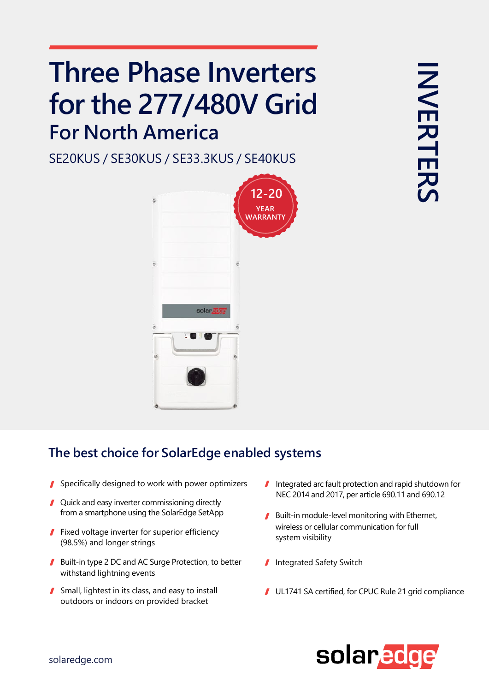## **Three Phase Inverters for the 277/480V Grid For North America**

SE20KUS / SE30KUS / SE33.3KUS / SE40KUS



## **The best choice for SolarEdge enabled systems**

- Specifically designed to work with power optimizers
- Quick and easy inverter commissioning directly
- Fixed voltage inverter for superior efficiency (98.5%) and longer strings
- Built-in type 2 DC and AC Surge Protection, to better withstand lightning events
- Small, lightest in its class, and easy to install outdoors or indoors on provided bracket
- Integrated arc fault protection and rapid shutdown for NEC 2014 and 2017, per article 690.11 and 690.12
- from a smartphone using the SolarEdge SetApp Built-in module-level monitoring with Ethernet, wireless or cellular communication for full system visibility
	- Integrated Safety Switch
	- UL1741 SA certified, for CPUC Rule 21 grid compliance